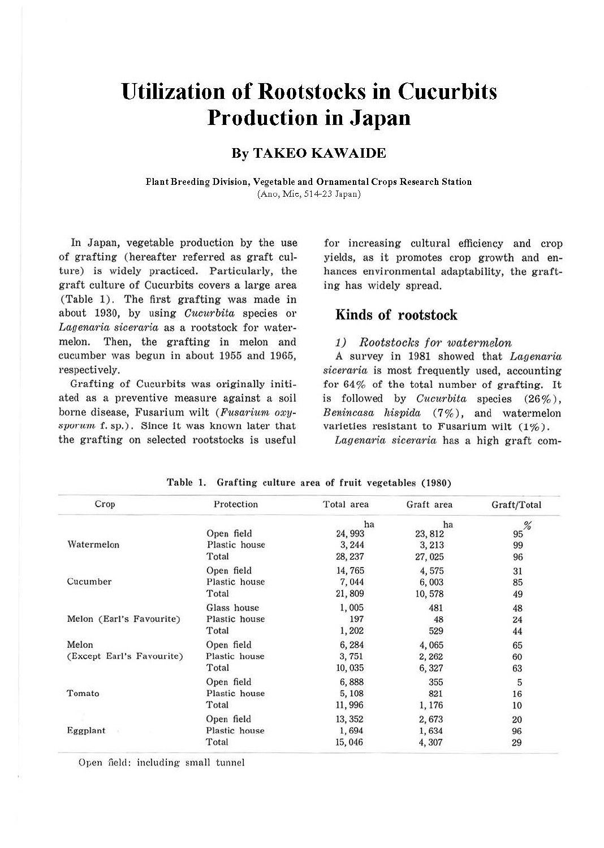# **Utilization of Rootstocks in Cucurbits Production in Japan**

# **By TAKEO KAWAIDE**

**Plant Breeding Division, Vegetable and Ornamental Crops Research Station**  (Ano, Mie, 514-23 Japan)

In Japan, vegetable production by the use of grafting (hereafter referred as graft culture) is widely practiced. Particularly, the graft culture of Cucurbits covers a large area (Table 1). The first grafting was made in about 1930, by using *Gucurbita* species or Lagenaria siceraria as a rootstock for watermelon. Then, the grafting in melon and cucumber was begun in about 1955 and 1965, respectively.

Grafting of Cucurbits was originally initiated as a preventive measure against a soil borne disease, Fusarium wilt *(Fusarium ox11 svormn* f. sp.). Since it was known later that the grafting on selected rootstocks is useful for increasing cultural efficiency and crop yields, as it promotes crop growth and enhances environmental adaptability, the grafting has widely spread.

## **Kinds of rootstock**

### 1) Rootstocks for watermelon

A survey in 1981 showed that *Lagenaria siceraria* is most frequently used, accounting for 64% of the total number of grafting. It is followed by *Cucurbita* species (26%), *Benincasa hispida* (7 % ) , and watermelon varieties resistant to Fusarium wilt  $(1\%)$ .

*Lagenaria siceraria* has a high graft com-

| Crop                      | Protection                  | Total area        | Graft area       | Graft/Total |
|---------------------------|-----------------------------|-------------------|------------------|-------------|
|                           |                             | ha                | ha               | %           |
| Watermelon                | Open field<br>Plastic house | 24, 993           | 23, 812          | 95          |
|                           | Total                       | 3, 244<br>28, 237 | 3, 213<br>27,025 | 99<br>96    |
|                           | Open field                  | 14,765            | 4,575            | 31          |
| Cucumber                  | Plastic house               | 7,044             | 6,003            | 85          |
|                           | Total                       | 21,809            | 10,578           | 49          |
|                           | Glass house                 | 1,005             | 481              | 48          |
| Melon (Earl's Favourite)  | Plastic house               | 197               | 48               | 24          |
|                           | Total                       | 1,202             | 529              | 44          |
| Melon                     | Open field                  | 6,284             | 4,065            | 65          |
| (Except Earl's Favourite) | Plastic house               | 3,751             | 2,262            | 60          |
|                           | Total                       | 10,035            | 6,327            | 63          |
|                           | Open field                  | 6,888             | 355              | 5           |
| Tomato                    | Plastic house               | 5,108             | 821              | 16          |
|                           | Total                       | 11,996            | 1,176            | 10          |
|                           | Open field                  | 13, 352           | 2,673            | 20          |
| Eggplant                  | Plastic house               | 1,694             | 1,634            | 96          |
|                           | Total                       | 15,046            | 4,307            | 29          |

Open field: including small tunnel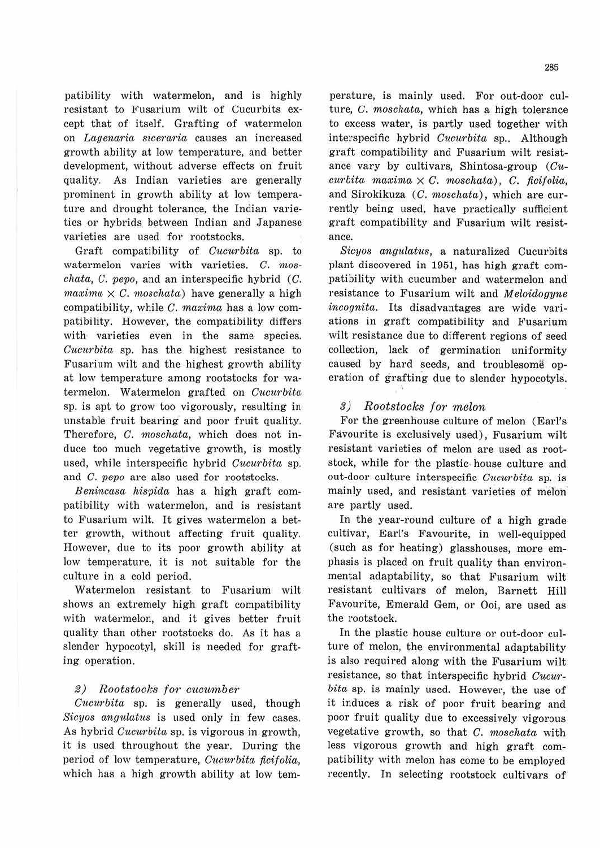patibility with watermelon, and is highly resistant to Fusarium wilt of Cucurbits except that of itself. Grafting of watermelon on Lagenaria siceraria causes an increased growth ability at low temperature, and better development, without adverse effects on fruit quality. As Indian varieties are generally prominent in growth ability at low temperature and drought tolerance, the Indian varieties or hybrids between Indian and Japanese varieties are used for rootstocks.

Graft compatibility of Cucurbita sp. to watermelon varies with varieties. C. mos $chata, C. pepo, and an interspecific hybrid (C.$  $maxima \times C$ . moschata) have generally a high compatibility, while  $C$ . maxima has a low compatibility. However, the compatibility differs with varieties even in the same species. Cucurbita sp. has the highest resistance to Fusarium wilt and the highest growth ability at low temperature among rootstocks for watermelon. Watermelon grafted on Cucurbita sp. is apt to grow too vigorously, resulting in unstable fruit bearing and poor fruit quality. Therefore, C. moschata, which does not induce too much vegetative growth, is mostly used, while interspecific hybrid Cucurbita sp. and C. pepo are also used for rootstocks.

Benincasa hispida has a high graft compatibility with watermelon, and is resistant to Fusarium wilt. It gives watermelon a better growth, without affecting fruit quality. However, due to its poor growth ability at low temperature, it is not suitable for the culture in a cold period.

Watermelon resistant to Fusarium wilt shows an extremely high graft compatibility with watermelon, and it gives better fruit quality than other rootstocks do. As it has a slender hypocotyl, skill is needed for grafting operation.

## 2) Rootstocks for cucumber

 $Cucurbita$  sp. is generally used, though Sicyos angulatus is used only in few cases. As hybrid *Cucurbita* sp. is vigorous in growth, it is used throughout the year. During the period of low temperature, Cucurbita ficifolia, which has a high growth ability at low temperature, is mainly used. For out-door culture, C. moschata, which has a high tolerance to excess water, is partly used together with interspecific hybrid Cucurbita sp.. Although graft compatibility and Fusarium wilt resistance vary by cultivars, Shintosa-group (Cu $curbita$  maxima  $\times$  C. moschata), C. ficifolia, and Sirokikuza  $(C. moschata)$ , which are currently being used, have practically sufficient graft compatibility and Fusarium wilt resistance.

Sicyos angulatus, a naturalized Cucurbits plant discovered in 1951, has high graft compatibility with cucumber and watermelon and resistance to Fusarium wilt and Meloidogyne incognita. Its disadvantages are wide variations in graft compatibility and Fusarium wilt resistance due to different regions of seed collection, lack of germination uniformity caused by hard seeds, and troublesome operation of grafting due to slender hypocotyls.

#### 3) Rootstocks for melon

'

For the greenhouse culture of melon (Earl's Favourite is exclusively used), Fusarium wilt resistant varieties of melon are used as rootstock, while for the plastic· house culture and out-door culture interspecific Cucurbita sp. is mainly used, and resistant varieties of melon· are partly used.

In the year-round culture of a high grade cultivar, Earl's Favourite, in well-equipped (such as for heating) glasshouses, more emphasis is placed on fruit quality than environmental adaptability, so that Fusarium wilt resistant cultivars of melon, Barnett Hill Favourite, Emerald Gem, or Ooi, are used as the rootstock.

In the plastic house culture or out-door culture of melon, the environmental adaptability is also required along with the Fusarium wilt resistance, so that interspecific hybrid Cucurbita sp. is mainly used. However, the use of it induces a risk of poor fruit bearing and poor fruit quality due to excessively vigorous vegetative growth, so that C. moschata with less vigorous growth and high graft compatibility with melon has come to be employed recently. In selecting rootstock cultivars of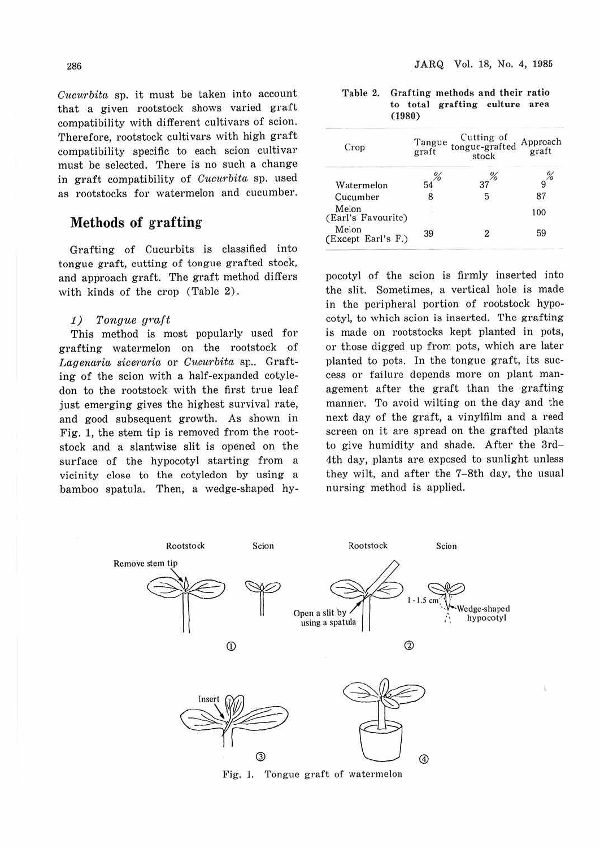*Cucurbita* sp. it must be taken into account that a given rootstock shows varied graft compatibility with different cultivars of scion. Therefore, rootstock cultivars with high graft compatibility specific to each scion cultivar must be selected. There is no such a change in graft compatibility of *Cucurbita* sp. used as rootstocks for watermelon and cucumber.

# **Methods of grafting**

Grafting of Cucurbits is classified into tongue graft, cutting of tongue grafted stock, and approach graft. The graft method differs with kinds of the crop (Table 2).

#### 1) Tongue graft

This method is most popularly used for grafting watermelon on the rootstock of Lagenaria siceraria or *Cucurbita* sp.. Grafting of the scion with a half-expanded cotyledon to the rootstock with the first true leaf just emerging gives the highest survival rate, and good subsequent growth. As shown in Fig. 1, the stem tip is removed from the rootstock and a slantwise slit is opened on the surface of the hypocotyl starting from a vicinity close to the cotyledon by using a bamboo spatula. Then, a wedge-shaped hy-

| Table 2. | Grafting methods and their ratio |        |                                |  |  |  |
|----------|----------------------------------|--------|--------------------------------|--|--|--|
|          |                                  |        | to total grafting culture area |  |  |  |
|          |                                  | (1980) |                                |  |  |  |

| Crop                        | Tangue<br>graft | Cutting of<br>tongue-grafted<br>stock | Approach<br>graft |  |
|-----------------------------|-----------------|---------------------------------------|-------------------|--|
| Watermelon                  |                 |                                       |                   |  |
| Cucumber                    |                 |                                       |                   |  |
| Melon<br>(Earl's Favourite) |                 |                                       | 100               |  |
| Melon<br>(Except Earl's F.) | 39              |                                       | 59                |  |

pocotyl of the scion is firmly inserted into the slit. Sometimes, a vertical hole is made in the peripheral portion of rootstock hypocotyl, to which scion is inserted. The grafting is made on rootstocks kept planted in pots, or those digged up from pots, which are later planted to pots. In the tongue graft, its success or failure depends more on plant management after the graft than the grafting manner. To avoid wilting on the day and the next day of the graft, a vinylfilm and a reed screen on it are spread on the grafted plants to give humidity and shade. After the 3rd-4th day, plants are exposed to sunlight unless they wilt, and after the 7-8th day, the usual nursing method is applied.



Fig. 1. Tongue graft of watermelon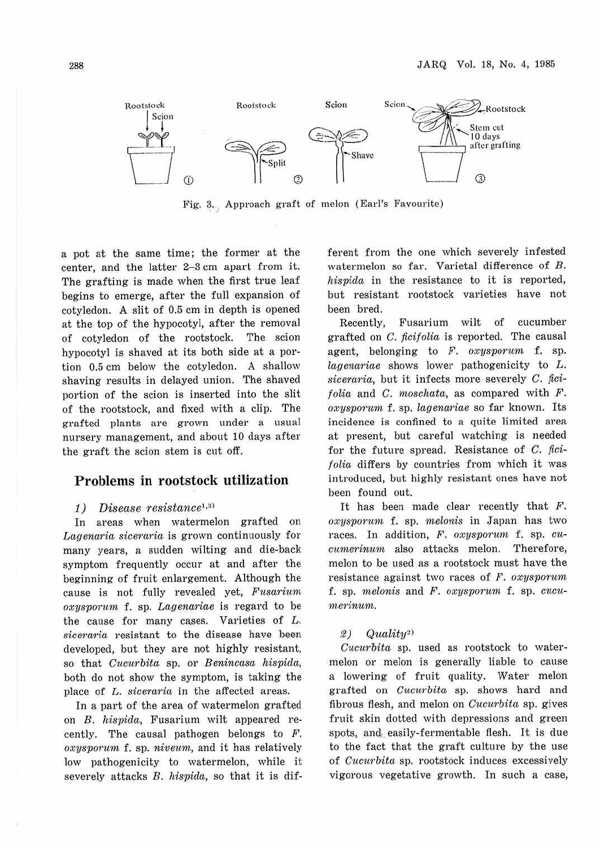

Fig. 3. Approach graft of melon (Earl's Favourite)

a pot at the same time; the former at the center, and the latter 2-3 cm apart from it. The grafting is made when the first true leaf begins to emerge, after the full expansion of cotyledon. A slit of 0.5 cm in depth is opened at the top of the hypocotyl, after the removal of cotyledon of the rootstock. The scion hypocotyl is shaved at its both side at a portion 0.5 cm below the cotyledon. A shallow shaving results in delayed union. The shaved portion of the scion is inserted into the slit of the rootstock, and fixed with a clip. The grafted plants are grown under a usual nursery management, and about 10 days after the graft the scion stem is cut off.

## **Problems in rootstock utilization**

### 1) *Disease resistance*<sup>1,3)</sup>

In areas when watermelon grafted on *Lagenaria siceraria* is grown continuously for many years, a sudden wilting and die-back symptom frequently occur at and after the beginning of fruit enlargement. Although the cause is not fully revealed yet, *F'usariwm, oxysporitm* f. sp. *Lagenariae* is regard to be the cause for many cases. Varieties of L. *siceraria* resistant to the disease have been developed, but they are not highly resistant, so that *Cucurbita* sp. or *Benincasa hispida,*  both do not show the symptom, is taking the place of *L. siceraria* in the affected areas.

In a part of the area of watermelon grafted on *B. hispicla,* Fusarium wilt appeared recently. The causal pathogen belongs to F. *oxysvorum* f. sp. *niveum,* and it has relatively low pathogenicity to watermelon, while it severely attacks *B. hispida*, so that it is different from the one which severely infested watermelon so far. Varietal difference of *B. hisvi<la* in the resistance to it is reported, but resistant rootstock varieties have not been bred.

Recently, Fusarium wilt of cucumber grafted on *C. ficifolia* is reported. The causal agent, belonging to *F. oxysporum* f. sp. *lagenariae* shows lower pathogenicity to *L*. *siceraria,* but it infects more severely *C.* fici*folia* and *C. moschata,* as compared with *F. oxysporum* f. sp. *lagenariae* so far known. Its incidence is confined to a quite limited area at present, but careful watching is needed for the future spread. Resistance of *C. ficifolia* differs by countries from which it was introduced, but highly resistant ones have not been found out.

It has been made clear recently that  $F$ .  $oxysporum$  f. sp. *melonis* in Japan has two races. In addition, *F. oxysporum* f. sp. *cucumerinum* also attacks melon. Therefore, melon to be used as a rootstock must have the resistance against two races of *F. oxysporum* f. sp. *1nelonis* and *F. oxysvorurn* f. sp. *cucu-1nerinum.* 

#### *2) Quality~>*

*Cuciirbita* sp. used as rootstock to watermelon or melon is generally liable to cause a. lowering of fruit quality. Water melon grafted on *Cucurbita* sp. shows hard and fibrous flesh, and melon on *Cucurbita* sp. gives fruit skin dotted with depressions and green spots, and easily-fermentable flesh. It is due to the fact that the graft culture by the use of *Cucurbita* sp. rootstock induces excessively vigorous vegetative growth. In such a case,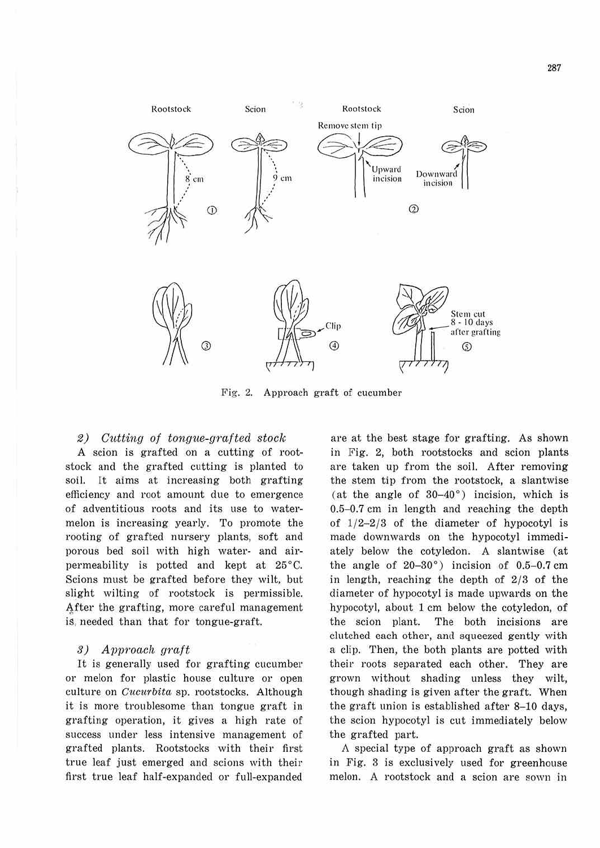

Fig. 2. Approach graft of cucumber

#### 2) Cutting of tongue-grafted stock

A scion is grafted on a cutting of rootstock and the grafted cutting is planted to soil. It aims at increasing both grafting efficiency and root amount due to emergence of adventitious roots and its use to watermelon is increasing yearly. To promote the rooting of grafted nursery plants, soft and porous bed soil with high water- and airpermeability is potted and kept at 25°C. Scions must be grafted before they wilt, but slight wilting of rootstock is permissible. After the grafting, more careful management is, needed than that for tongue-graft.

## 3) Avproach graft

It is generally used for grafting cucumber or melon for plastic house culture or open culture on *Cucurbita* sp. rootstocks. Although it is more troublesome than tongue graft in grafting operation, it gives a high rate of success under less intensive management of grafted plants. Rootstocks with their first true leaf just emerged and scions with their first true leaf half-expanded or full-expanded

are at the best stage for grafting. As shown in Fig. 2, both rootstocks and scion plants are taken up from the soil. After removing the stem tip from the rootstock, a slantwise (at the angle of  $30-40^\circ$ ) incision, which is 0.5-0.7 cm in length and reaching the depth of  $1/2-2/3$  of the diameter of hypocotyl is made downwards on the hypocotyl immediately below the cotyledon. A slantwise (at the angle of 20-30°) incision of 0.5-0.7 cm in length, reaching the depth of 2/3 of the diameter of hypocotyl is made upwards on the hypocotyl, about 1 cm below the cotyledon, of the scion plant. The both incisions are clutched each other, and squeezed gently with a clip. Then, the both plants are potted with their roots separated each other. They are grown without shading unless they wilt, though shading is given after the graft. When the graft union is established after 8-10 days, the scion hypocotyl is cut immediately below the grafted part.

A special type of approach graft as shown in Fig. 3 is exclusively used for greenhouse melon. A rootstock and a scion are sown in